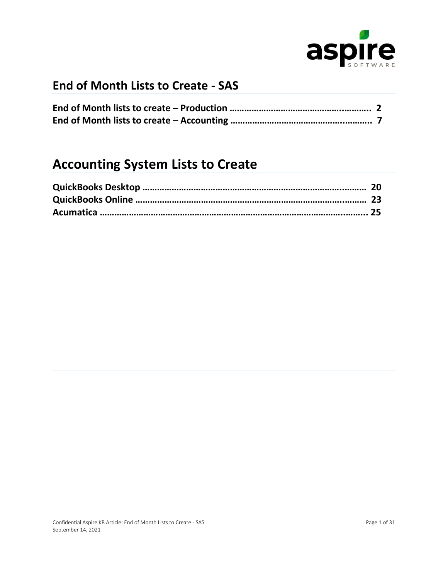

# **End of Month Lists to Create - SAS**

# **Accounting System Lists to Create**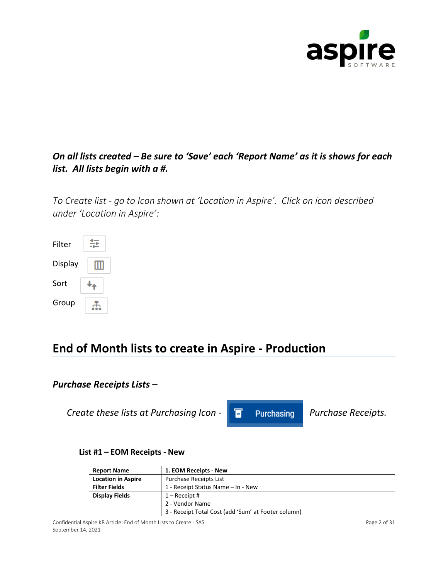

### *On all lists created – Be sure to 'Save' each 'Report Name' as it is shows for each list. All lists begin with a #.*

*To Create list - go to Icon shown at 'Location in Aspire'. Click on icon described under 'Location in Aspire':*



# **End of Month lists to create in Aspire - Production**

### *Purchase Receipts Lists –*

*Create these lists at Purchasing Icon - Purchasing Purchase Receipts.* 

#### **List #1 – EOM Receipts - New**

| <b>Report Name</b>        | 1. EOM Receipts - New                               |
|---------------------------|-----------------------------------------------------|
| <b>Location in Aspire</b> | Purchase Receipts List                              |
| <b>Filter Fields</b>      | 1 - Receipt Status Name - In - New                  |
| <b>Display Fields</b>     | $1 -$ Receipt #                                     |
|                           | 2 - Vendor Name                                     |
|                           | 3 - Receipt Total Cost (add 'Sum' at Footer column) |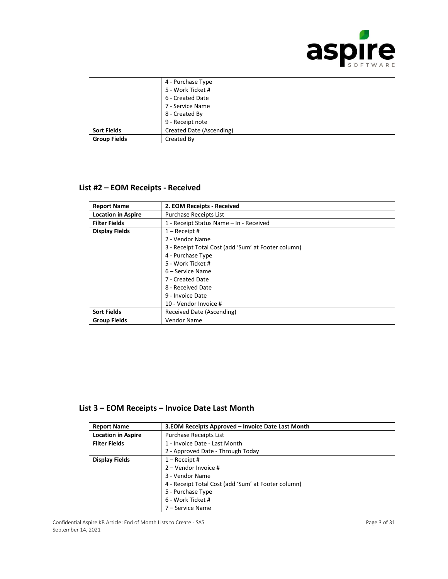

|                     | 4 - Purchase Type        |
|---------------------|--------------------------|
|                     | 5 - Work Ticket #        |
|                     | 6 - Created Date         |
|                     | 7 - Service Name         |
|                     | 8 - Created By           |
|                     | 9 - Receipt note         |
| <b>Sort Fields</b>  | Created Date (Ascending) |
| <b>Group Fields</b> | Created By               |

#### **List #2 – EOM Receipts - Received**

| <b>Report Name</b>        | 2. EOM Receipts - Received                          |
|---------------------------|-----------------------------------------------------|
| <b>Location in Aspire</b> | <b>Purchase Receipts List</b>                       |
| <b>Filter Fields</b>      | 1 - Receipt Status Name - In - Received             |
| <b>Display Fields</b>     | $1 -$ Receipt #                                     |
|                           | 2 - Vendor Name                                     |
|                           | 3 - Receipt Total Cost (add 'Sum' at Footer column) |
|                           | 4 - Purchase Type                                   |
|                           | 5 - Work Ticket #                                   |
|                           | 6 – Service Name                                    |
|                           | 7 - Created Date                                    |
|                           | 8 - Received Date                                   |
|                           | 9 - Invoice Date                                    |
|                           | 10 - Vendor Invoice #                               |
| <b>Sort Fields</b>        | Received Date (Ascending)                           |
| <b>Group Fields</b>       | Vendor Name                                         |

### **List 3 – EOM Receipts – Invoice Date Last Month**

| <b>Report Name</b>        | 3. EOM Receipts Approved – Invoice Date Last Month  |
|---------------------------|-----------------------------------------------------|
| <b>Location in Aspire</b> | Purchase Receipts List                              |
| <b>Filter Fields</b>      | 1 - Invoice Date - Last Month                       |
|                           | 2 - Approved Date - Through Today                   |
| <b>Display Fields</b>     | $1 -$ Receipt #                                     |
|                           | $2 -$ Vendor Invoice #                              |
|                           | 3 - Vendor Name                                     |
|                           | 4 - Receipt Total Cost (add 'Sum' at Footer column) |
|                           | 5 - Purchase Type                                   |
|                           | 6 - Work Ticket #                                   |
|                           | 7 - Service Name                                    |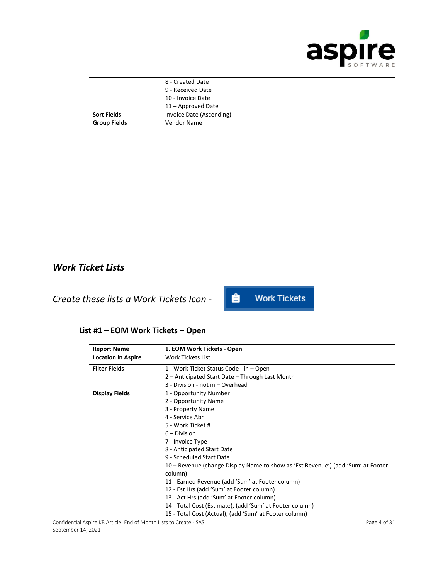

|                     | 8 - Created Date<br>9 - Received Date<br>10 - Invoice Date |
|---------------------|------------------------------------------------------------|
|                     | 11 - Approved Date                                         |
| <b>Sort Fields</b>  | Invoice Date (Ascending)                                   |
| <b>Group Fields</b> | Vendor Name                                                |

### *Work Ticket Lists*

*Create these lists a Work Tickets Icon -* 

#### 自 **Work Tickets**

#### **List #1 – EOM Work Tickets – Open**

| <b>Report Name</b>        | 1. EOM Work Tickets - Open                                                       |
|---------------------------|----------------------------------------------------------------------------------|
| <b>Location in Aspire</b> | <b>Work Tickets List</b>                                                         |
| <b>Filter Fields</b>      | 1 - Work Ticket Status Code - in - Open                                          |
|                           | 2 – Anticipated Start Date – Through Last Month                                  |
|                           | 3 - Division - not in - Overhead                                                 |
| <b>Display Fields</b>     | 1 - Opportunity Number                                                           |
|                           | 2 - Opportunity Name                                                             |
|                           | 3 - Property Name                                                                |
|                           | 4 - Service Abr                                                                  |
|                           | 5 - Work Ticket #                                                                |
|                           | $6 - Division$                                                                   |
|                           | 7 - Invoice Type                                                                 |
|                           | 8 - Anticipated Start Date                                                       |
|                           | 9 - Scheduled Start Date                                                         |
|                           | 10 – Revenue (change Display Name to show as 'Est Revenue') (add 'Sum' at Footer |
|                           | column)                                                                          |
|                           | 11 - Earned Revenue (add 'Sum' at Footer column)                                 |
|                           | 12 - Est Hrs (add 'Sum' at Footer column)                                        |
|                           | 13 - Act Hrs (add 'Sum' at Footer column)                                        |
|                           | 14 - Total Cost (Estimate), (add 'Sum' at Footer column)                         |
|                           | 15 - Total Cost (Actual), (add 'Sum' at Footer column)                           |

Confidential Aspire KB Article: End of Month Lists to Create - SAS Page 4 of 31 September 14, 2021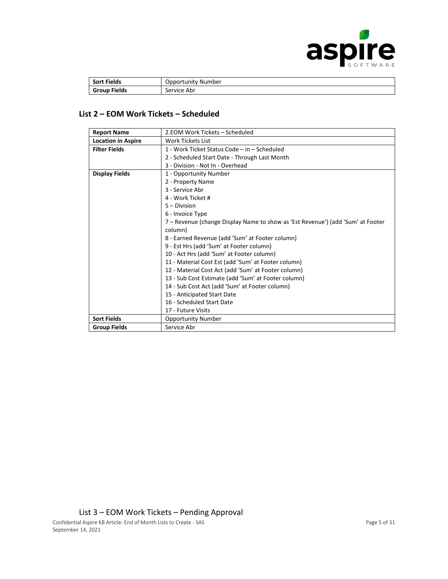

| <b>Sort Fields</b>  | Opportunity Number |
|---------------------|--------------------|
| <b>Group Fields</b> | Service Abr        |

#### **List 2 – EOM Work Tickets – Scheduled**

| <b>Report Name</b>        | 2.EOM Work Tickets – Scheduled                                                  |
|---------------------------|---------------------------------------------------------------------------------|
| <b>Location in Aspire</b> | Work Tickets List                                                               |
| <b>Filter Fields</b>      | 1 - Work Ticket Status Code – in – Scheduled                                    |
|                           | 2 - Scheduled Start Date - Through Last Month                                   |
|                           | 3 - Division - Not In - Overhead                                                |
| <b>Display Fields</b>     | 1 - Opportunity Number                                                          |
|                           | 2 - Property Name                                                               |
|                           | 3 - Service Abr                                                                 |
|                           | 4 - Work Ticket #                                                               |
|                           | $5 - Division$                                                                  |
|                           | 6 - Invoice Type                                                                |
|                           | 7 – Revenue (change Display Name to show as 'Est Revenue') (add 'Sum' at Footer |
|                           | column)                                                                         |
|                           | 8 - Earned Revenue (add 'Sum' at Footer column)                                 |
|                           | 9 - Est Hrs (add 'Sum' at Footer column)                                        |
|                           | 10 - Act Hrs (add 'Sum' at Footer column)                                       |
|                           | 11 - Material Cost Est (add 'Sum' at Footer column)                             |
|                           | 12 - Material Cost Act (add 'Sum' at Footer column)                             |
|                           | 13 - Sub Cost Estimate (add 'Sum' at Footer column)                             |
|                           | 14 - Sub Cost Act (add 'Sum' at Footer column)                                  |
|                           | 15 - Anticipated Start Date                                                     |
|                           | 16 - Scheduled Start Date                                                       |
|                           | 17 - Future Visits                                                              |
| <b>Sort Fields</b>        | Opportunity Number                                                              |
| <b>Group Fields</b>       | Service Abr                                                                     |

List 3 – EOM Work Tickets – Pending Approval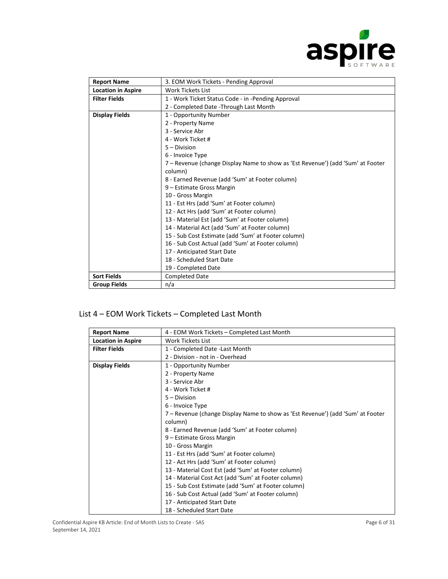

| <b>Report Name</b>        | 3. EOM Work Tickets - Pending Approval                                          |
|---------------------------|---------------------------------------------------------------------------------|
| <b>Location in Aspire</b> | <b>Work Tickets List</b>                                                        |
| <b>Filter Fields</b>      | 1 - Work Ticket Status Code - in -Pending Approval                              |
|                           | 2 - Completed Date - Through Last Month                                         |
| <b>Display Fields</b>     | 1 - Opportunity Number                                                          |
|                           | 2 - Property Name                                                               |
|                           | 3 - Service Abr                                                                 |
|                           | 4 - Work Ticket #                                                               |
|                           | $5 - Division$                                                                  |
|                           | 6 - Invoice Type                                                                |
|                           | 7 – Revenue (change Display Name to show as 'Est Revenue') (add 'Sum' at Footer |
|                           | column)                                                                         |
|                           | 8 - Earned Revenue (add 'Sum' at Footer column)                                 |
|                           | 9 – Estimate Gross Margin                                                       |
|                           | 10 - Gross Margin                                                               |
|                           | 11 - Est Hrs (add 'Sum' at Footer column)                                       |
|                           | 12 - Act Hrs (add 'Sum' at Footer column)                                       |
|                           | 13 - Material Est (add 'Sum' at Footer column)                                  |
|                           | 14 - Material Act (add 'Sum' at Footer column)                                  |
|                           | 15 - Sub Cost Estimate (add 'Sum' at Footer column)                             |
|                           | 16 - Sub Cost Actual (add 'Sum' at Footer column)                               |
|                           | 17 - Anticipated Start Date                                                     |
|                           | 18 - Scheduled Start Date                                                       |
|                           | 19 - Completed Date                                                             |
| <b>Sort Fields</b>        | <b>Completed Date</b>                                                           |
| <b>Group Fields</b>       | n/a                                                                             |

### List 4 – EOM Work Tickets – Completed Last Month

| <b>Report Name</b>        | 4 - EOM Work Tickets – Completed Last Month                                     |
|---------------------------|---------------------------------------------------------------------------------|
| <b>Location in Aspire</b> | Work Tickets List                                                               |
| <b>Filter Fields</b>      | 1 - Completed Date - Last Month                                                 |
|                           | 2 - Division - not in - Overhead                                                |
| <b>Display Fields</b>     | 1 - Opportunity Number                                                          |
|                           | 2 - Property Name                                                               |
|                           | 3 - Service Abr                                                                 |
|                           | 4 - Work Ticket #                                                               |
|                           | $5 - Division$                                                                  |
|                           | 6 - Invoice Type                                                                |
|                           | 7 – Revenue (change Display Name to show as 'Est Revenue') (add 'Sum' at Footer |
|                           | column)                                                                         |
|                           | 8 - Earned Revenue (add 'Sum' at Footer column)                                 |
|                           | 9 – Estimate Gross Margin                                                       |
|                           | 10 - Gross Margin                                                               |
|                           | 11 - Est Hrs (add 'Sum' at Footer column)                                       |
|                           | 12 - Act Hrs (add 'Sum' at Footer column)                                       |
|                           | 13 - Material Cost Est (add 'Sum' at Footer column)                             |
|                           | 14 - Material Cost Act (add 'Sum' at Footer column)                             |
|                           | 15 - Sub Cost Estimate (add 'Sum' at Footer column)                             |
|                           | 16 - Sub Cost Actual (add 'Sum' at Footer column)                               |
|                           | 17 - Anticipated Start Date                                                     |
|                           | 18 - Scheduled Start Date                                                       |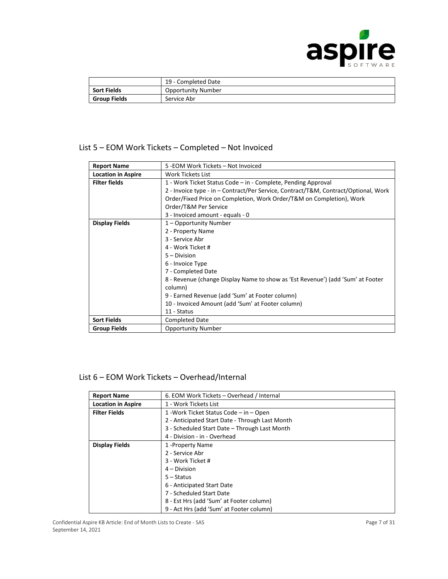

|                    | 19 - Completed Date       |
|--------------------|---------------------------|
| <b>Sort Fields</b> | <b>Opportunity Number</b> |
| Group Fields       | Service Abr               |

#### List 5 – EOM Work Tickets – Completed – Not Invoiced

| <b>Report Name</b>        | 5 - EOM Work Tickets - Not Invoiced                                                 |
|---------------------------|-------------------------------------------------------------------------------------|
| <b>Location in Aspire</b> | <b>Work Tickets List</b>                                                            |
| <b>Filter fields</b>      | 1 - Work Ticket Status Code – in - Complete, Pending Approval                       |
|                           | 2 - Invoice type - in – Contract/Per Service, Contract/T&M, Contract/Optional, Work |
|                           | Order/Fixed Price on Completion, Work Order/T&M on Completion), Work                |
|                           | Order/T&M Per Service                                                               |
|                           | 3 - Invoiced amount - equals - 0                                                    |
| <b>Display Fields</b>     | 1 – Opportunity Number                                                              |
|                           | 2 - Property Name                                                                   |
|                           | 3 - Service Abr                                                                     |
|                           | 4 - Work Ticket #                                                                   |
|                           | $5 - Division$                                                                      |
|                           | 6 - Invoice Type                                                                    |
|                           | 7 - Completed Date                                                                  |
|                           | 8 - Revenue (change Display Name to show as 'Est Revenue') (add 'Sum' at Footer     |
|                           | column)                                                                             |
|                           | 9 - Earned Revenue (add 'Sum' at Footer column)                                     |
|                           | 10 - Invoiced Amount (add 'Sum' at Footer column)                                   |
|                           | 11 - Status                                                                         |
| <b>Sort Fields</b>        | <b>Completed Date</b>                                                               |
| <b>Group Fields</b>       | <b>Opportunity Number</b>                                                           |

#### List 6 – EOM Work Tickets – Overhead/Internal

| <b>Report Name</b>        | 6. EOM Work Tickets – Overhead / Internal       |
|---------------------------|-------------------------------------------------|
| <b>Location in Aspire</b> | 1 - Work Tickets List                           |
| <b>Filter Fields</b>      | 1 - Work Ticket Status Code – in – Open         |
|                           | 2 - Anticipated Start Date - Through Last Month |
|                           | 3 - Scheduled Start Date - Through Last Month   |
|                           | 4 - Division - in - Overhead                    |
| <b>Display Fields</b>     | 1 - Property Name                               |
|                           | 2 - Service Abr                                 |
|                           | 3 - Work Ticket #                               |
|                           | $4 - Division$                                  |
|                           | $5 -$ Status                                    |
|                           | 6 - Anticipated Start Date                      |
|                           | 7 - Scheduled Start Date                        |
|                           | 8 - Est Hrs (add 'Sum' at Footer column)        |
|                           | 9 - Act Hrs (add 'Sum' at Footer column)        |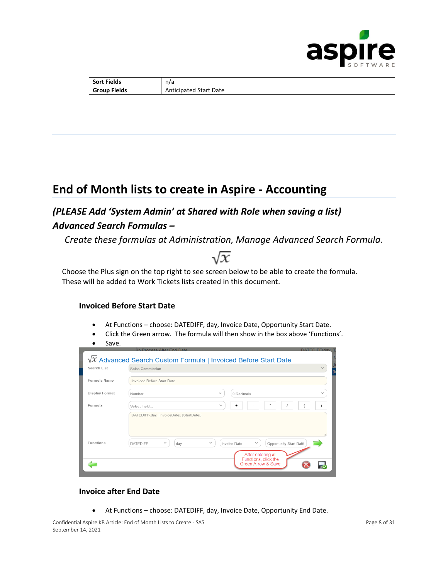

| <b>Sort Fields</b>  | n/a                          |
|---------------------|------------------------------|
| <b>Group Fields</b> | Date<br>Start<br>Anticipated |

# **End of Month lists to create in Aspire - Accounting**

### *(PLEASE Add 'System Admin' at Shared with Role when saving a list) Advanced Search Formulas –*

*Create these formulas at Administration, Manage Advanced Search Formula.*

Choose the Plus sign on the top right to see screen below to be able to create the formula. These will be added to Work Tickets lists created in this document.

#### **Invoiced Before Start Date**

- At Functions choose: DATEDIFF, day, Invoice Date, Opportunity Start Date.
- Click the Green arrow. The formula will then show in the box above 'Functions'.
- Save.

|                | In Process After End Date<br>DATEDIFF(day [F                                                                     |  |
|----------------|------------------------------------------------------------------------------------------------------------------|--|
|                | $\sqrt{x}$ Advanced Search Custom Formula   Invoiced Before Start Date                                           |  |
| Search List    | $\checkmark$<br>Sales Commission                                                                                 |  |
| Formula Name   | Invoiced Before Start Date                                                                                       |  |
| Display Format | $\checkmark$<br>$\checkmark$<br>0 Decimals<br>Number                                                             |  |
| Formula        | ×<br>$\checkmark$<br>÷<br>Select Field<br>$\overline{\phantom{a}}$                                               |  |
|                | DATEDIFF(day, [InvoiceDate], [StartDate])                                                                        |  |
| Functions      | $\checkmark$<br>$\checkmark$<br>Opportunity Start Date<br>$\checkmark$<br><b>DATEDIFF</b><br>Invoice Date<br>day |  |
|                | After entering all<br>Functions, click the<br>Green Arrow & Save                                                 |  |
|                |                                                                                                                  |  |

#### **Invoice after End Date**

• At Functions – choose: DATEDIFF, day, Invoice Date, Opportunity End Date.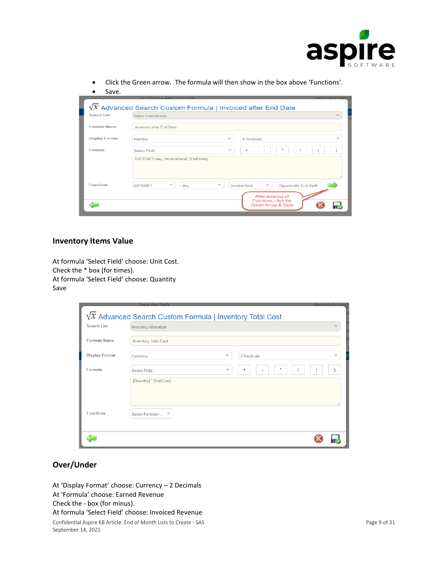

• Click the Green arrow. The formula will then show in the box above 'Functions'.

| Save.            |                                                                                                                |
|------------------|----------------------------------------------------------------------------------------------------------------|
|                  | In Process After End Date<br>DATEDIFF(day II                                                                   |
|                  | $\sqrt{x}$ Advanced Search Custom Formula   Invoiced after End Date                                            |
| Search List      | $\checkmark$<br>Sales Commission                                                                               |
| Formula Name     | Invoiced after End Date                                                                                        |
| Display Format   | $\checkmark$<br>$\checkmark$<br>0 Decimals<br>Number                                                           |
| Formula          | $\ast$<br>$\checkmark$<br>÷<br>Select Field                                                                    |
|                  | DATEDIFF(day, [InvoiceDate], [EndDate])                                                                        |
| <b>Eunctions</b> | $\checkmark$<br>$\checkmark$<br>$\checkmark$<br>Opportunity End Date<br><b>DATEDIFF</b><br>Invoice Date<br>day |
|                  | After entering all<br>Functions, click the<br>Green Arrow & Save                                               |

#### **Inventory Items Value**

At formula 'Select Field' choose: Unit Cost. Check the \* box (for times). At formula 'Select Field' choose: Quantity Save

|                       | Price Per SoFt                                                   | <b>IPropertyBudget</b> |
|-----------------------|------------------------------------------------------------------|------------------------|
|                       | $\sqrt{x}$ Advanced Search Custom Formula   Inventory Total Cost |                        |
| Search List           | Inventory Allocation                                             |                        |
| Formula Name          | Inventory Total Cost                                             |                        |
| <b>Display Format</b> | $\checkmark$<br>2 Decimals<br>Currency                           | $\checkmark$           |
| Formula               | $\ast$<br>$\checkmark$<br>$\ddot{}$<br>Select Field              |                        |
|                       | [Quantity] * [UnitCost]                                          |                        |
|                       |                                                                  |                        |
| <b>Eunctions</b>      | Select Function<br>$\checkmark$                                  |                        |
|                       |                                                                  |                        |
|                       |                                                                  |                        |

#### **Over/Under**

At 'Display Format' choose: Currency – 2 Decimals At 'Formula' choose: Earned Revenue Check the - box (for minus).

#### At formula 'Select Field' choose: Invoiced Revenue

Confidential Aspire KB Article: End of Month Lists to Create - SAS Page 9 of 31 September 14, 2021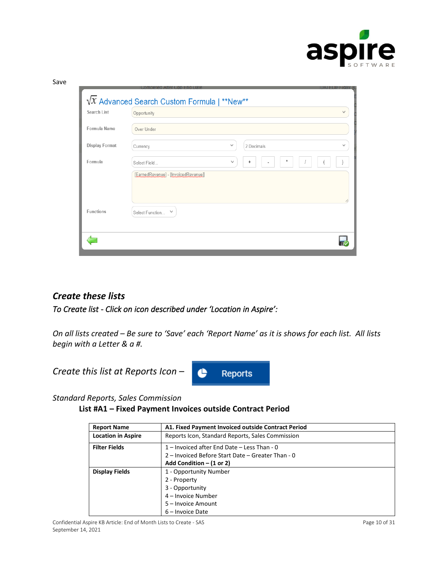

| Search List    | Opportunity                         |                            |
|----------------|-------------------------------------|----------------------------|
| Formula Name   | Over Under                          |                            |
| Display Format | Currency                            | $\checkmark$<br>2 Decimals |
| Formula        | Select Field                        | $\checkmark$<br>$^{+}$     |
|                | [EarnedRevenue] - [InvoicedRevenue] |                            |
| Functions      | Select Function V                   |                            |

### *Create these lists*

*To Create list - Click on icon described under 'Location in Aspire':* 

*On all lists created – Be sure to 'Save' each 'Report Name' as it is shows for each list. All lists begin with a Letter & a #.*



*Standard Reports, Sales Commission*

**List #A1 – Fixed Payment Invoices outside Contract Period**

| <b>Report Name</b>        | A1. Fixed Payment Invoiced outside Contract Period |
|---------------------------|----------------------------------------------------|
| <b>Location in Aspire</b> | Reports Icon, Standard Reports, Sales Commission   |
| <b>Filter Fields</b>      | 1 – Invoiced after End Date – Less Than - 0        |
|                           | 2 – Invoiced Before Start Date – Greater Than - 0  |
|                           | Add Condition $- (1 or 2)$                         |
| Display Fields            | 1 - Opportunity Number                             |
|                           | 2 - Property                                       |
|                           | 3 - Opportunity                                    |
|                           | 4 – Invoice Number                                 |
|                           | 5 - Invoice Amount                                 |
|                           | 6 - Invoice Date                                   |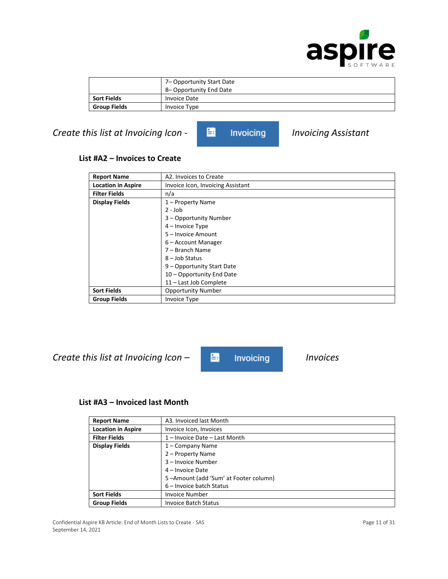

|                     | 7– Opportunity Start Date |
|---------------------|---------------------------|
|                     | 8-Opportunity End Date    |
| <b>Sort Fields</b>  | <b>Invoice Date</b>       |
| <b>Group Fields</b> | Invoice Type              |

### *Create this list at Invoicing Icon - Formula Invoicing Assistant*

#### **List #A2 – Invoices to Create**

| <b>Report Name</b>        | A2. Invoices to Create            |
|---------------------------|-----------------------------------|
| <b>Location in Aspire</b> | Invoice Icon, Invoicing Assistant |
| <b>Filter Fields</b>      | n/a                               |
| <b>Display Fields</b>     | 1 - Property Name                 |
|                           | $2 - Job$                         |
|                           | 3 - Opportunity Number            |
|                           | 4 – Invoice Type                  |
|                           | 5 - Invoice Amount                |
|                           | 6 – Account Manager               |
|                           | 7 – Branch Name                   |
|                           | 8 - Job Status                    |
|                           | 9 - Opportunity Start Date        |
|                           | 10 - Opportunity End Date         |
|                           | 11 - Last Job Complete            |
| <b>Sort Fields</b>        | <b>Opportunity Number</b>         |
| <b>Group Fields</b>       | Invoice Type                      |

*Create this list at Invoicing Icon – Invoices* 

#### **List #A3 – Invoiced last Month**

| <b>Report Name</b>        | A3. Invoiced last Month               |
|---------------------------|---------------------------------------|
| <b>Location in Aspire</b> | Invoice Icon, Invoices                |
| <b>Filter Fields</b>      | 1 – Invoice Date – Last Month         |
| <b>Display Fields</b>     | 1 – Company Name                      |
|                           | 2 – Property Name                     |
|                           | 3 - Invoice Number                    |
|                           | 4 – Invoice Date                      |
|                           | 5-Amount (add 'Sum' at Footer column) |
|                           | 6 – Invoice batch Status              |
| <b>Sort Fields</b>        | <b>Invoice Number</b>                 |
| <b>Group Fields</b>       | <b>Invoice Batch Status</b>           |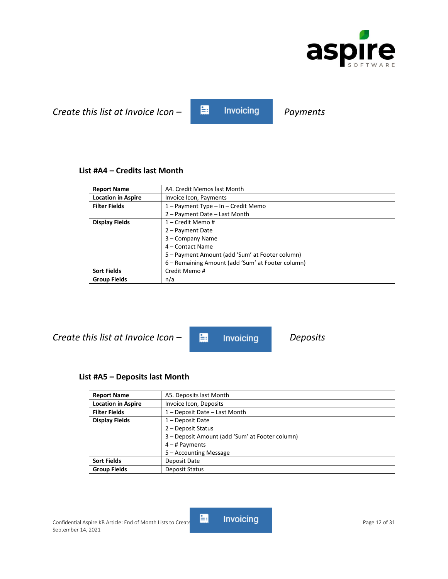

# *Create this list at Invoice Icon –* **Fig.** Invoicing *Payments*

#### **List #A4 – Credits last Month**

| <b>Report Name</b>        | A4. Credit Memos last Month                       |
|---------------------------|---------------------------------------------------|
| <b>Location in Aspire</b> | Invoice Icon, Payments                            |
| <b>Filter Fields</b>      | $1 -$ Payment Type $-$ In $-$ Credit Memo         |
|                           | 2 - Payment Date - Last Month                     |
| <b>Display Fields</b>     | 1 – Credit Memo #                                 |
|                           | 2 – Payment Date                                  |
|                           | 3 - Company Name                                  |
|                           | 4 – Contact Name                                  |
|                           | 5 - Payment Amount (add 'Sum' at Footer column)   |
|                           | 6 – Remaining Amount (add 'Sum' at Footer column) |
| <b>Sort Fields</b>        | Credit Memo#                                      |
| <b>Group Fields</b>       | n/a                                               |

*Create this list at Invoice Icon − E:* Invoicing *Deposits* 

#### **List #A5 – Deposits last Month**

| <b>Report Name</b>        | A5. Deposits last Month                         |
|---------------------------|-------------------------------------------------|
| <b>Location in Aspire</b> | Invoice Icon, Deposits                          |
| <b>Filter Fields</b>      | 1 - Deposit Date - Last Month                   |
| <b>Display Fields</b>     | $1 -$ Deposit Date                              |
|                           | 2 - Deposit Status                              |
|                           | 3 – Deposit Amount (add 'Sum' at Footer column) |
|                           | $4 - #$ Payments                                |
|                           | 5 – Accounting Message                          |
| <b>Sort Fields</b>        | Deposit Date                                    |
| <b>Group Fields</b>       | Deposit Status                                  |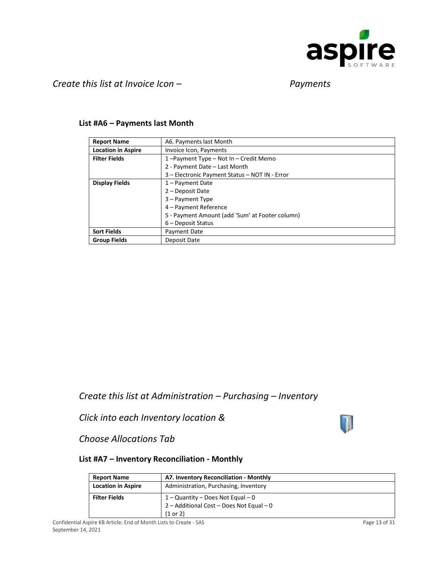

#### *Create this list at Invoice Icon – Payments*

#### **List #A6 – Payments last Month**

| <b>Report Name</b>        | A6. Payments last Month                         |
|---------------------------|-------------------------------------------------|
| <b>Location in Aspire</b> | Invoice Icon, Payments                          |
| <b>Filter Fields</b>      | 1-Payment Type - Not In - Credit Memo           |
|                           | 2 - Payment Date - Last Month                   |
|                           | 3 - Electronic Payment Status - NOT IN - Error  |
| <b>Display Fields</b>     | $1 -$ Payment Date                              |
|                           | 2 – Deposit Date                                |
|                           | 3 – Payment Type                                |
|                           | 4 - Payment Reference                           |
|                           | 5 - Payment Amount (add 'Sum' at Footer column) |
|                           | $6$ – Deposit Status                            |
| <b>Sort Fields</b>        | Payment Date                                    |
| <b>Group Fields</b>       | Deposit Date                                    |

*Create this list at Administration – Purchasing – Inventory* 

*Click into each Inventory location &* 



*Choose Allocations Tab* 

#### **List #A7 – Inventory Reconciliation - Monthly**

| <b>Report Name</b>        | A7. Inventory Reconciliation - Monthly   |
|---------------------------|------------------------------------------|
| <b>Location in Aspire</b> | Administration, Purchasing, Inventory    |
| <b>Filter Fields</b>      | $1 -$ Quantity – Does Not Equal – 0      |
|                           | 2 - Additional Cost - Does Not Equal - 0 |
|                           | (1 or 2)                                 |

Confidential Aspire KB Article: End of Month Lists to Create - SAS Page 13 of 31 September 14, 2021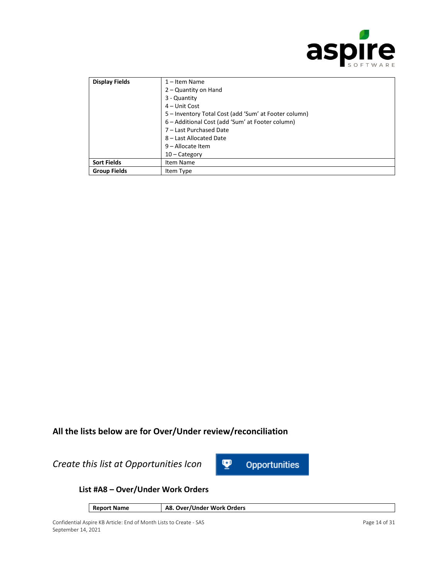

| <b>Display Fields</b> | $1 -$ Item Name<br>2 – Quantity on Hand<br>3 - Quantity<br>$4 -$ Unit Cost<br>5 - Inventory Total Cost (add 'Sum' at Footer column)<br>6 – Additional Cost (add 'Sum' at Footer column)<br>7 - Last Purchased Date |
|-----------------------|--------------------------------------------------------------------------------------------------------------------------------------------------------------------------------------------------------------------|
|                       | 8 - Last Allocated Date<br>9 - Allocate Item<br>$10 -$ Category                                                                                                                                                    |
| <b>Sort Fields</b>    | Item Name                                                                                                                                                                                                          |
| <b>Group Fields</b>   | Item Type                                                                                                                                                                                                          |

### **All the lists below are for Over/Under review/reconciliation**

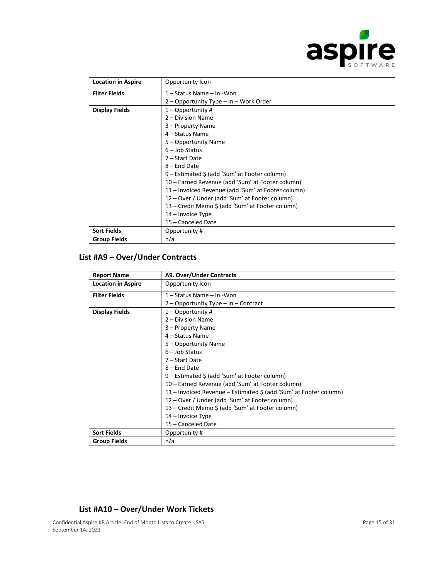

| <b>Location in Aspire</b> | Opportunity Icon                                   |
|---------------------------|----------------------------------------------------|
| <b>Filter Fields</b>      | 1 – Status Name – In - Won                         |
|                           | 2 - Opportunity Type - In - Work Order             |
| <b>Display Fields</b>     | $1 -$ Opportunity#                                 |
|                           | 2 - Division Name                                  |
|                           | 3 - Property Name                                  |
|                           | 4 – Status Name                                    |
|                           | 5 - Opportunity Name                               |
|                           | $6$ – Job Status                                   |
|                           | 7 - Start Date                                     |
|                           | 8 – End Date                                       |
|                           | 9 – Estimated \$ (add 'Sum' at Footer column)      |
|                           | 10 - Earned Revenue (add 'Sum' at Footer column)   |
|                           | 11 - Invoiced Revenue (add 'Sum' at Footer column) |
|                           | 12 – Over / Under (add 'Sum' at Footer column)     |
|                           | 13 – Credit Memo \$ (add 'Sum' at Footer column)   |
|                           | 14 – Invoice Type                                  |
|                           | 15 - Canceled Date                                 |
| <b>Sort Fields</b>        | Opportunity #                                      |
| <b>Group Fields</b>       | n/a                                                |

#### **List #A9 – Over/Under Contracts**

| <b>Report Name</b>        | A9. Over/Under Contracts                                          |
|---------------------------|-------------------------------------------------------------------|
| <b>Location in Aspire</b> | Opportunity Icon                                                  |
| <b>Filter Fields</b>      | 1 – Status Name – In - Won                                        |
|                           | $2$ – Opportunity Type – In – Contract                            |
| <b>Display Fields</b>     | $1 -$ Opportunity#                                                |
|                           | 2 – Division Name                                                 |
|                           | 3 - Property Name                                                 |
|                           | 4 – Status Name                                                   |
|                           | 5 - Opportunity Name                                              |
|                           | $6 -$ Job Status                                                  |
|                           | 7 – Start Date                                                    |
|                           | $8 -$ End Date                                                    |
|                           | 9 – Estimated \$ (add 'Sum' at Footer column)                     |
|                           | 10 – Earned Revenue (add 'Sum' at Footer column)                  |
|                           | 11 - Invoiced Revenue - Estimated \$ (add 'Sum' at Footer column) |
|                           | 12 – Over / Under (add 'Sum' at Footer column)                    |
|                           | 13 – Credit Memo \$ (add 'Sum' at Footer column)                  |
|                           | $14$ – Invoice Type                                               |
|                           | 15 - Canceled Date                                                |
| <b>Sort Fields</b>        | Opportunity #                                                     |
| <b>Group Fields</b>       | n/a                                                               |

#### **List #A10 – Over/Under Work Tickets**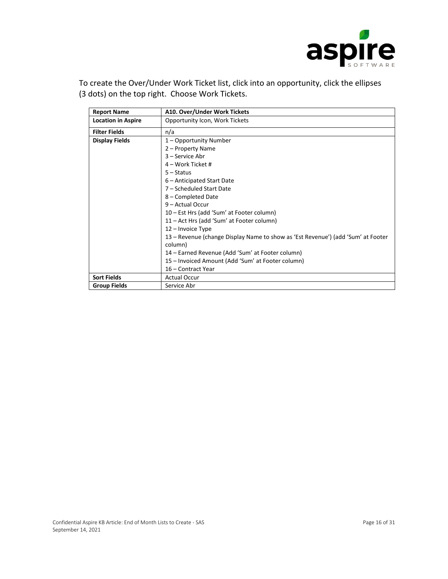

To create the Over/Under Work Ticket list, click into an opportunity, click the ellipses (3 dots) on the top right. Choose Work Tickets.

| <b>Report Name</b>        | A10. Over/Under Work Tickets                                                     |
|---------------------------|----------------------------------------------------------------------------------|
| <b>Location in Aspire</b> | Opportunity Icon, Work Tickets                                                   |
| <b>Filter Fields</b>      | n/a                                                                              |
| <b>Display Fields</b>     | 1 – Opportunity Number                                                           |
|                           | 2 – Property Name                                                                |
|                           | 3 - Service Abr                                                                  |
|                           | $4$ – Work Ticket #                                                              |
|                           | $5 -$ Status                                                                     |
|                           | 6 – Anticipated Start Date                                                       |
|                           | 7 - Scheduled Start Date                                                         |
|                           | 8 - Completed Date                                                               |
|                           | $9 -$ Actual Occur                                                               |
|                           | 10 – Est Hrs (add 'Sum' at Footer column)                                        |
|                           | 11 – Act Hrs (add 'Sum' at Footer column)                                        |
|                           | 12 - Invoice Type                                                                |
|                           | 13 – Revenue (change Display Name to show as 'Est Revenue') (add 'Sum' at Footer |
|                           | column)                                                                          |
|                           | 14 - Earned Revenue (Add 'Sum' at Footer column)                                 |
|                           | 15 – Invoiced Amount (Add 'Sum' at Footer column)                                |
|                           | 16 - Contract Year                                                               |
| <b>Sort Fields</b>        | <b>Actual Occur</b>                                                              |
| <b>Group Fields</b>       | Service Abr                                                                      |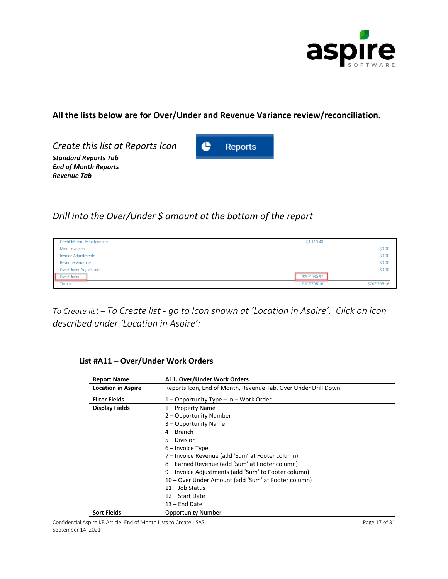

### **All the lists below are for Over/Under and Revenue Variance review/reconciliation.**

*Create this list at Reports Icon Standard Reports Tab End of Month Reports Revenue Tab*



### *Drill into the Over/Under \$ amount at the bottom of the report*

| <b>Credit Memo - Maintenance</b> | \$1,119.43   |              |
|----------------------------------|--------------|--------------|
| Misc. Invoices                   |              | \$0.00       |
| <b>Invoice Adjustments</b>       |              | \$0.00       |
| <b>Revenue Variance</b>          |              | \$0.00       |
| <b>Over/Under Adjustment</b>     |              | \$0.00       |
| Over/Under                       | \$202,586.97 |              |
| <b>Totals</b>                    | \$207,705.16 | \$207,705.16 |

*To Create list – To Create list - go to Icon shown at 'Location in Aspire'. Click on icon described under 'Location in Aspire':*

| <b>Report Name</b>        | A11. Over/Under Work Orders                                    |
|---------------------------|----------------------------------------------------------------|
| <b>Location in Aspire</b> | Reports Icon, End of Month, Revenue Tab, Over Under Drill Down |
| <b>Filter Fields</b>      | 1 – Opportunity Type – In – Work Order                         |
| <b>Display Fields</b>     | 1 – Property Name                                              |
|                           | 2 – Opportunity Number                                         |
|                           | 3 - Opportunity Name                                           |
|                           | $4 - Branch$                                                   |
|                           | $5 - Division$                                                 |
|                           | $6$ – Invoice Type                                             |
|                           | 7 – Invoice Revenue (add 'Sum' at Footer column)               |
|                           | 8 – Earned Revenue (add 'Sum' at Footer column)                |
|                           | 9 - Invoice Adjustments (add 'Sum' to Footer column)           |
|                           | 10 – Over Under Amount (add 'Sum' at Footer column)            |
|                           | $11 -$ Job Status                                              |
|                           | 12 – Start Date                                                |
|                           | $13$ – End Date                                                |
| <b>Sort Fields</b>        | <b>Opportunity Number</b>                                      |

#### **List #A11 – Over/Under Work Orders**

Confidential Aspire KB Article: End of Month Lists to Create - SAS Page 17 of 31 September 14, 2021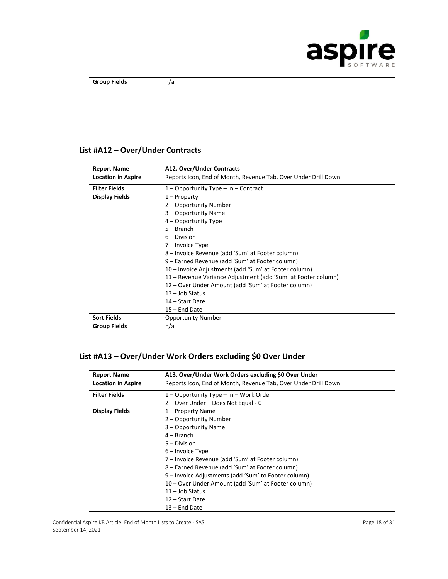

| <b>Group Fields</b> | n/a |
|---------------------|-----|

### **List #A12 – Over/Under Contracts**

| <b>Report Name</b>        | A12. Over/Under Contracts                                      |
|---------------------------|----------------------------------------------------------------|
| <b>Location in Aspire</b> | Reports Icon, End of Month, Revenue Tab, Over Under Drill Down |
| <b>Filter Fields</b>      | $1 -$ Opportunity Type $-$ In $-$ Contract                     |
| Display Fields            | $1 -$ Property                                                 |
|                           | 2 – Opportunity Number                                         |
|                           | 3 – Opportunity Name                                           |
|                           | 4 – Opportunity Type                                           |
|                           | $5 - Branch$                                                   |
|                           | $6 - Division$                                                 |
|                           | 7 – Invoice Type                                               |
|                           | 8 – Invoice Revenue (add 'Sum' at Footer column)               |
|                           | 9 – Earned Revenue (add 'Sum' at Footer column)                |
|                           | 10 – Invoice Adjustments (add 'Sum' at Footer column)          |
|                           | 11 – Revenue Variance Adjustment (add 'Sum' at Footer column)  |
|                           | 12 – Over Under Amount (add 'Sum' at Footer column)            |
|                           | $13 -$ Job Status                                              |
|                           | 14 – Start Date                                                |
|                           | $15$ – End Date                                                |
| <b>Sort Fields</b>        | <b>Opportunity Number</b>                                      |
| <b>Group Fields</b>       | n/a                                                            |

### **List #A13 – Over/Under Work Orders excluding \$0 Over Under**

| <b>Report Name</b>        | A13. Over/Under Work Orders excluding \$0 Over Under           |  |  |  |  |
|---------------------------|----------------------------------------------------------------|--|--|--|--|
| <b>Location in Aspire</b> | Reports Icon, End of Month, Revenue Tab, Over Under Drill Down |  |  |  |  |
| <b>Filter Fields</b>      | 1 – Opportunity Type – In – Work Order                         |  |  |  |  |
|                           | 2 - Over Under - Does Not Equal - 0                            |  |  |  |  |
| <b>Display Fields</b>     | 1 – Property Name                                              |  |  |  |  |
|                           | 2 – Opportunity Number                                         |  |  |  |  |
|                           | 3 – Opportunity Name                                           |  |  |  |  |
|                           | $4 - Branch$                                                   |  |  |  |  |
|                           | 5 - Division                                                   |  |  |  |  |
|                           | $6$ – Invoice Type                                             |  |  |  |  |
|                           | 7 - Invoice Revenue (add 'Sum' at Footer column)               |  |  |  |  |
|                           | 8 – Earned Revenue (add 'Sum' at Footer column)                |  |  |  |  |
|                           | 9 – Invoice Adjustments (add 'Sum' to Footer column)           |  |  |  |  |
|                           | 10 – Over Under Amount (add 'Sum' at Footer column)            |  |  |  |  |
|                           | $11 -$ Job Status                                              |  |  |  |  |
|                           | 12 – Start Date                                                |  |  |  |  |
|                           | 13 – End Date                                                  |  |  |  |  |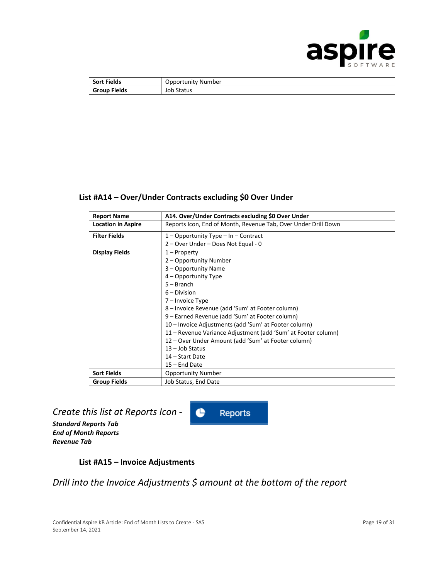

| <b>Sort Fields</b>  | Opportunity Number |  |  |
|---------------------|--------------------|--|--|
| <b>Group Fields</b> | <b>Job Status</b>  |  |  |

#### **List #A14 – Over/Under Contracts excluding \$0 Over Under**

| <b>Report Name</b>        | A14. Over/Under Contracts excluding \$0 Over Under             |  |  |  |  |
|---------------------------|----------------------------------------------------------------|--|--|--|--|
| <b>Location in Aspire</b> | Reports Icon, End of Month, Revenue Tab, Over Under Drill Down |  |  |  |  |
| <b>Filter Fields</b>      | $1 -$ Opportunity Type $-$ In $-$ Contract                     |  |  |  |  |
|                           | 2 – Over Under – Does Not Equal - 0                            |  |  |  |  |
| <b>Display Fields</b>     | $1 -$ Property                                                 |  |  |  |  |
|                           | 2 – Opportunity Number                                         |  |  |  |  |
|                           | 3 – Opportunity Name                                           |  |  |  |  |
|                           | 4 – Opportunity Type                                           |  |  |  |  |
|                           | $5 - Branch$                                                   |  |  |  |  |
|                           | $6 - Division$                                                 |  |  |  |  |
|                           | 7 – Invoice Type                                               |  |  |  |  |
|                           | 8 – Invoice Revenue (add 'Sum' at Footer column)               |  |  |  |  |
|                           | 9 – Earned Revenue (add 'Sum' at Footer column)                |  |  |  |  |
|                           | 10 – Invoice Adjustments (add 'Sum' at Footer column)          |  |  |  |  |
|                           | 11 – Revenue Variance Adjustment (add 'Sum' at Footer column)  |  |  |  |  |
|                           | 12 – Over Under Amount (add 'Sum' at Footer column)            |  |  |  |  |
|                           | $13 -$ Job Status                                              |  |  |  |  |
|                           | 14 – Start Date                                                |  |  |  |  |
|                           | 15 - End Date                                                  |  |  |  |  |
| <b>Sort Fields</b>        | <b>Opportunity Number</b>                                      |  |  |  |  |
| <b>Group Fields</b>       | Job Status, End Date                                           |  |  |  |  |

### *Create this list at Reports Icon -*

*Standard Reports Tab End of Month Reports Revenue Tab*

#### **List #A15 – Invoice Adjustments**

### *Drill into the Invoice Adjustments \$ amount at the bottom of the report*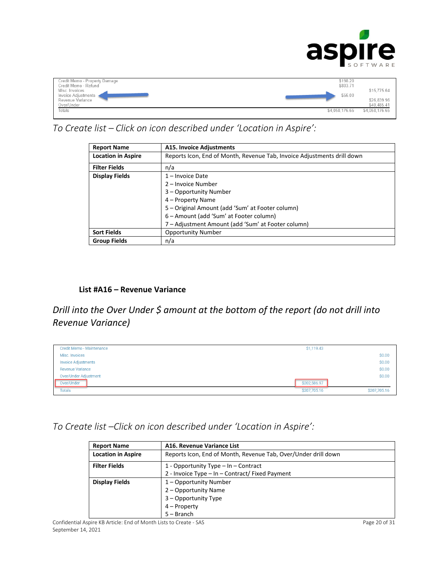

| Credit Memo - Property Damage<br>Credit Memo - Refund<br>Misc. Invoices<br>Invoice Adjustments<br>Revenue Variance<br>Over/Under | \$198.20<br>\$803.71<br>\$56.00 | \$15,775.64<br>\$26,839.96<br>\$40,485.41 |
|----------------------------------------------------------------------------------------------------------------------------------|---------------------------------|-------------------------------------------|
| Totals                                                                                                                           | \$4,058,176.65                  | \$4,058,176.65                            |

### *To Create list – Click on icon described under 'Location in Aspire':*

| <b>Report Name</b>        | A15. Invoice Adjustments                                                |  |  |  |
|---------------------------|-------------------------------------------------------------------------|--|--|--|
| <b>Location in Aspire</b> | Reports Icon, End of Month, Revenue Tab, Invoice Adjustments drill down |  |  |  |
| <b>Filter Fields</b>      | n/a                                                                     |  |  |  |
| <b>Display Fields</b>     | $1$ – Invoice Date                                                      |  |  |  |
|                           | 2 – Invoice Number                                                      |  |  |  |
|                           | 3 – Opportunity Number                                                  |  |  |  |
|                           | 4 – Property Name                                                       |  |  |  |
|                           | 5 - Original Amount (add 'Sum' at Footer column)                        |  |  |  |
|                           | 6 – Amount (add 'Sum' at Footer column)                                 |  |  |  |
|                           | 7 – Adjustment Amount (add 'Sum' at Footer column)                      |  |  |  |
| <b>Sort Fields</b>        | <b>Opportunity Number</b>                                               |  |  |  |
| <b>Group Fields</b>       | n/a                                                                     |  |  |  |

#### **List #A16 – Revenue Variance**

*Drill into the Over Under \$ amount at the bottom of the report (do not drill into Revenue Variance)*

| <b>Credit Memo - Maintenance</b> | \$1,119.43   |              |
|----------------------------------|--------------|--------------|
| Misc. Invoices                   |              | \$0.00       |
| <b>Invoice Adjustments</b>       |              | \$0.00       |
| <b>Revenue Variance</b>          |              | \$0.00       |
| <b>Over/Under Adjustment</b>     |              | \$0.00       |
| Over/Under                       | \$202,586.97 |              |
| <b>Totals</b>                    | \$207,705.16 | \$207,705.16 |

*To Create list –Click on icon described under 'Location in Aspire':*

| <b>Report Name</b>        | A16. Revenue Variance List                                     |  |  |  |
|---------------------------|----------------------------------------------------------------|--|--|--|
| <b>Location in Aspire</b> | Reports Icon, End of Month, Revenue Tab, Over/Under drill down |  |  |  |
| <b>Filter Fields</b>      | 1 - Opportunity Type $-$ In $-$ Contract                       |  |  |  |
|                           | 2 - Invoice Type - In - Contract/ Fixed Payment                |  |  |  |
| <b>Display Fields</b>     | 1 - Opportunity Number                                         |  |  |  |
|                           | 2 – Opportunity Name                                           |  |  |  |
|                           | 3 – Opportunity Type                                           |  |  |  |
|                           | $4 -$ Property                                                 |  |  |  |
|                           | $5 - Branch$                                                   |  |  |  |

Confidential Aspire KB Article: End of Month Lists to Create - SAS Page 20 of 31 September 14, 2021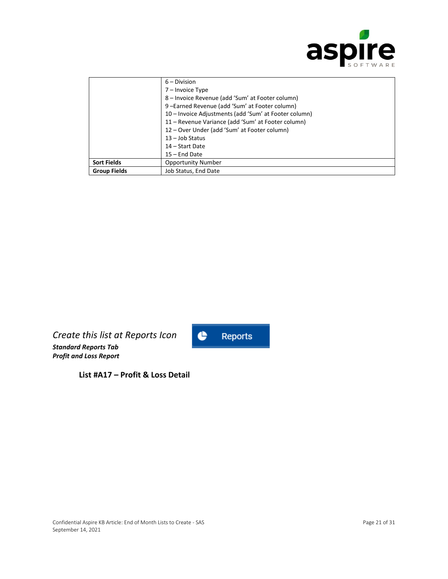

|                     | $6 - Division$                                        |  |  |  |
|---------------------|-------------------------------------------------------|--|--|--|
|                     | 7 - Invoice Type                                      |  |  |  |
|                     | 8 – Invoice Revenue (add 'Sum' at Footer column)      |  |  |  |
|                     | 9-Earned Revenue (add 'Sum' at Footer column)         |  |  |  |
|                     | 10 – Invoice Adjustments (add 'Sum' at Footer column) |  |  |  |
|                     | 11 – Revenue Variance (add 'Sum' at Footer column)    |  |  |  |
|                     | 12 – Over Under (add 'Sum' at Footer column)          |  |  |  |
|                     | $13 -$ Job Status                                     |  |  |  |
|                     | 14 – Start Date                                       |  |  |  |
|                     | $15$ – End Date                                       |  |  |  |
| <b>Sort Fields</b>  | <b>Opportunity Number</b>                             |  |  |  |
| <b>Group Fields</b> | Job Status, End Date                                  |  |  |  |

*Create this list at Reports Icon Standard Reports Tab Profit and Loss Report* 



**List #A17 – Profit & Loss Detail**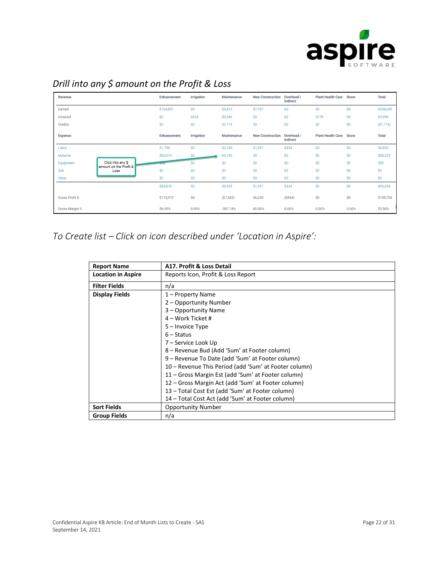

| Revenue                |                                             | <b>Enhancement</b> | <b>Irrigation</b> | <b>Maintenance</b> | <b>New Construction</b> | Overhead /<br>Indirect        | <b>Plant Health Care</b> | <b>Snow</b> | <b>Total</b> |
|------------------------|---------------------------------------------|--------------------|-------------------|--------------------|-------------------------|-------------------------------|--------------------------|-------------|--------------|
| Earned                 |                                             | \$194,851          | \$0               | \$3,412            | \$7,787                 | \$0                           | \$0                      | \$0         | \$206,049    |
| Invoiced               |                                             | \$0                | \$324             | \$3,546            | \$0                     | \$0                           | \$129                    | \$0         | \$3,999      |
| <b>Credits</b>         |                                             | \$0                | \$0               | \$1,119            | \$0                     | \$0                           | \$0                      | \$0         | (S1, 119)    |
| <b>Expense</b>         |                                             | <b>Enhancement</b> | <b>Irrigation</b> | <b>Maintenance</b> | <b>New Construction</b> | Overhead /<br><b>Indirect</b> | <b>Plant Health Care</b> | <b>Snow</b> | <b>Total</b> |
| Labor                  |                                             | \$1,758            | \$0               | \$3,180            | \$1,557                 | <b>\$434</b>                  | \$0                      | \$0         | \$6,929      |
| <b>Material</b>        |                                             | \$82,070           | \$0               | \$6,155            | \$0                     | \$0                           | \$0                      | \$0         | \$88,225     |
| Equipment              | Click into any \$<br>amount on the Profit & |                    | \$0               | \$0                | \$0                     | \$0                           | \$0                      | \$0         | \$50         |
| Sub                    | Loss                                        | \$0                | \$0               | \$0                | \$0                     | \$0                           | \$0                      | \$0         | \$0          |
| Other                  |                                             | \$0                | \$0               | \$0                | \$0                     | \$0                           | \$0                      | \$0         | \$0          |
|                        |                                             | \$83,878           | \$0               | \$9,335            | \$1,557                 | \$434                         | \$0                      | \$0         | \$95,204     |
| <b>Gross Profit \$</b> |                                             | \$110,972          | \$0               | (S7,042)           | \$6,230                 | (S434)                        | \$0                      | \$0         | \$109,726    |
| <b>Gross Margin %</b>  |                                             | 56.95%             | 0.00%             | $-307.18%$         | 80.00%                  | 0.00%                         | 0.00%                    | 0.00%       | 53.54%       |

# *Drill into any \$ amount on the Profit & Loss*

*To Create list – Click on icon described under 'Location in Aspire':*

| <b>Report Name</b>        | A17. Profit & Loss Detail                             |  |  |  |
|---------------------------|-------------------------------------------------------|--|--|--|
| <b>Location in Aspire</b> | Reports Icon, Profit & Loss Report                    |  |  |  |
| <b>Filter Fields</b>      | n/a                                                   |  |  |  |
| <b>Display Fields</b>     | 1 – Property Name                                     |  |  |  |
|                           | 2 – Opportunity Number                                |  |  |  |
|                           | 3 – Opportunity Name                                  |  |  |  |
|                           | 4 – Work Ticket #                                     |  |  |  |
|                           | $5 -$ Invoice Type                                    |  |  |  |
| $6 - Status$              |                                                       |  |  |  |
|                           | 7 – Service Look Up                                   |  |  |  |
|                           | 8 – Revenue Bud (Add 'Sum' at Footer column)          |  |  |  |
|                           | 9 – Revenue To Date (add 'Sum' at Footer column)      |  |  |  |
|                           | 10 – Revenue This Period (add 'Sum' at Footer column) |  |  |  |
|                           | 11 – Gross Margin Est (add 'Sum' at Footer column)    |  |  |  |
|                           | 12 – Gross Margin Act (add 'Sum' at Footer column)    |  |  |  |
|                           | 13 – Total Cost Est (add 'Sum' at Footer column)      |  |  |  |
|                           | 14 - Total Cost Act (add 'Sum' at Footer column)      |  |  |  |
| <b>Sort Fields</b>        | <b>Opportunity Number</b>                             |  |  |  |
| <b>Group Fields</b>       | n/a                                                   |  |  |  |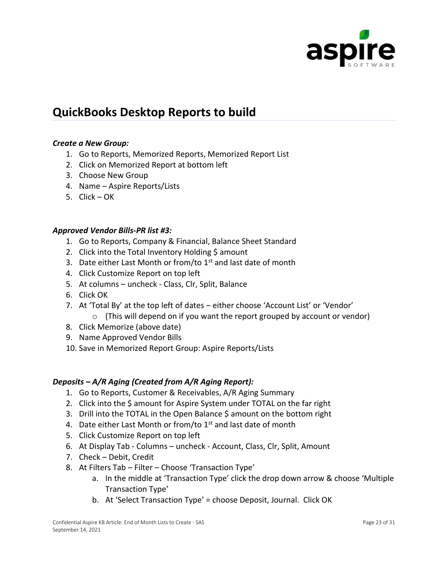

# **QuickBooks Desktop Reports to build**

#### *Create a New Group:*

- 1. Go to Reports, Memorized Reports, Memorized Report List
- 2. Click on Memorized Report at bottom left
- 3. Choose New Group
- 4. Name Aspire Reports/Lists
- 5. Click OK

#### *Approved Vendor Bills-PR list #3:*

- 1. Go to Reports, Company & Financial, Balance Sheet Standard
- 2. Click into the Total Inventory Holding \$ amount
- 3. Date either Last Month or from/to  $1<sup>st</sup>$  and last date of month
- 4. Click Customize Report on top left
- 5. At columns uncheck Class, Clr, Split, Balance
- 6. Click OK
- 7. At 'Total By' at the top left of dates either choose 'Account List' or 'Vendor'
	- $\circ$  (This will depend on if you want the report grouped by account or vendor)
- 8. Click Memorize (above date)
- 9. Name Approved Vendor Bills
- 10. Save in Memorized Report Group: Aspire Reports/Lists

#### *Deposits – A/R Aging (Created from A/R Aging Report):*

- 1. Go to Reports, Customer & Receivables, A/R Aging Summary
- 2. Click into the \$ amount for Aspire System under TOTAL on the far right
- 3. Drill into the TOTAL in the Open Balance \$ amount on the bottom right
- 4. Date either Last Month or from/to  $1<sup>st</sup>$  and last date of month
- 5. Click Customize Report on top left
- 6. At Display Tab Columns uncheck Account, Class, Clr, Split, Amount
- 7. Check Debit, Credit
- 8. At Filters Tab Filter Choose 'Transaction Type'
	- a. In the middle at 'Transaction Type' click the drop down arrow & choose 'Multiple Transaction Type'
	- b. At 'Select Transaction Type' = choose Deposit, Journal. Click OK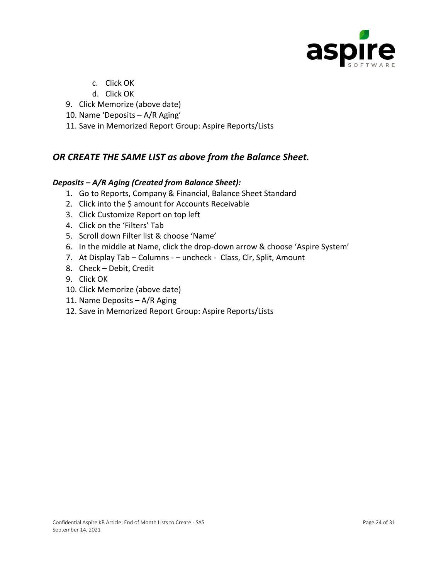

- c. Click OK
- d. Click OK
- 9. Click Memorize (above date)
- 10. Name 'Deposits A/R Aging'
- 11. Save in Memorized Report Group: Aspire Reports/Lists

### *OR CREATE THE SAME LIST as above from the Balance Sheet.*

#### *Deposits – A/R Aging (Created from Balance Sheet):*

- 1. Go to Reports, Company & Financial, Balance Sheet Standard
- 2. Click into the \$ amount for Accounts Receivable
- 3. Click Customize Report on top left
- 4. Click on the 'Filters' Tab
- 5. Scroll down Filter list & choose 'Name'
- 6. In the middle at Name, click the drop-down arrow & choose 'Aspire System'
- 7. At Display Tab Columns – uncheck Class, Clr, Split, Amount
- 8. Check Debit, Credit
- 9. Click OK
- 10. Click Memorize (above date)
- 11. Name Deposits A/R Aging
- 12. Save in Memorized Report Group: Aspire Reports/Lists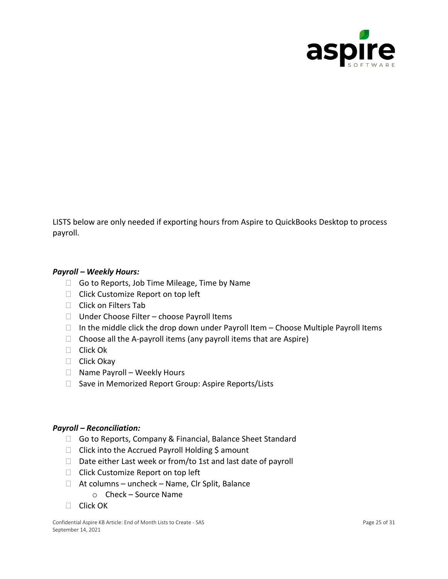

LISTS below are only needed if exporting hours from Aspire to QuickBooks Desktop to process payroll.

#### *Payroll – Weekly Hours:*

- □ Go to Reports, Job Time Mileage, Time by Name
- □ Click Customize Report on top left
- □ Click on Filters Tab
- $\Box$  Under Choose Filter choose Payroll Items
- $\Box$  In the middle click the drop down under Payroll Item Choose Multiple Payroll Items
- $\Box$  Choose all the A-payroll items (any payroll items that are Aspire)
- □ Click Ok
- □ Click Okay
- $\Box$  Name Payroll Weekly Hours
- $\Box$  Save in Memorized Report Group: Aspire Reports/Lists

#### *Payroll – Reconciliation:*

- □ Go to Reports, Company & Financial, Balance Sheet Standard
- $\Box$  Click into the Accrued Payroll Holding \$ amount
- $\Box$  Date either Last week or from/to 1st and last date of payroll
- □ Click Customize Report on top left
- $\Box$  At columns uncheck Name, Clr Split, Balance
	- o Check Source Name
- $\Box$  Click OK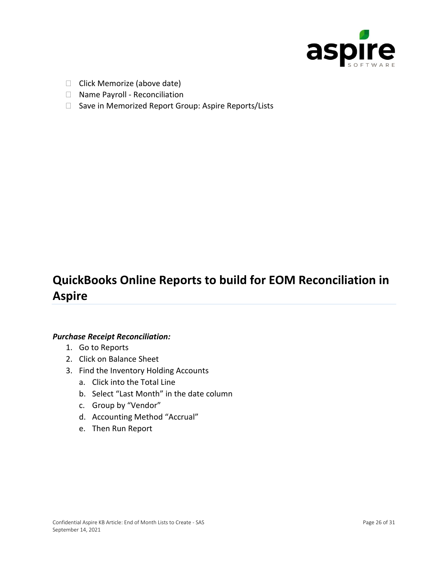

- $\Box$  Click Memorize (above date)
- □ Name Payroll Reconciliation
- □ Save in Memorized Report Group: Aspire Reports/Lists

# **QuickBooks Online Reports to build for EOM Reconciliation in Aspire**

#### *Purchase Receipt Reconciliation:*

- 1. Go to Reports
- 2. Click on Balance Sheet
- 3. Find the Inventory Holding Accounts
	- a. Click into the Total Line
	- b. Select "Last Month" in the date column
	- c. Group by "Vendor"
	- d. Accounting Method "Accrual"
	- e. Then Run Report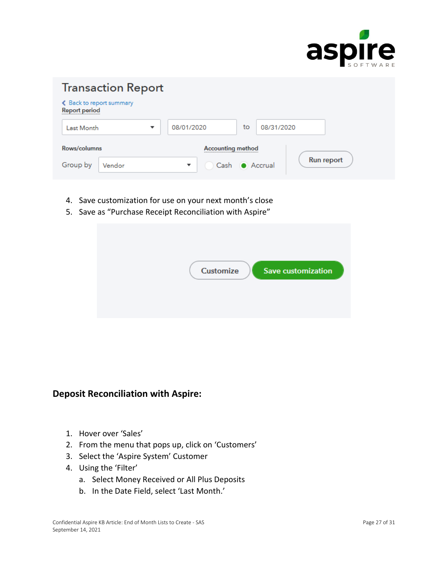

| <b>Transaction Report</b>                        |        |  |                          |  |            |                   |
|--------------------------------------------------|--------|--|--------------------------|--|------------|-------------------|
| ← Back to report summary<br><b>Report period</b> |        |  |                          |  |            |                   |
| <b>Last Month</b>                                |        |  | 08/01/2020               |  | 08/31/2020 |                   |
| Rows/columns                                     |        |  | <b>Accounting method</b> |  |            |                   |
| Group by                                         | Vendor |  | Cash                     |  | Accrual    | <b>Run report</b> |

- 4. Save customization for use on your next month's close
- 5. Save as "Purchase Receipt Reconciliation with Aspire"

| <b>Customize</b><br><b>Save customization</b> |
|-----------------------------------------------|
|                                               |

### **Deposit Reconciliation with Aspire:**

- 1. Hover over 'Sales'
- 2. From the menu that pops up, click on 'Customers'
- 3. Select the 'Aspire System' Customer
- 4. Using the 'Filter'
	- a. Select Money Received or All Plus Deposits
	- b. In the Date Field, select 'Last Month.'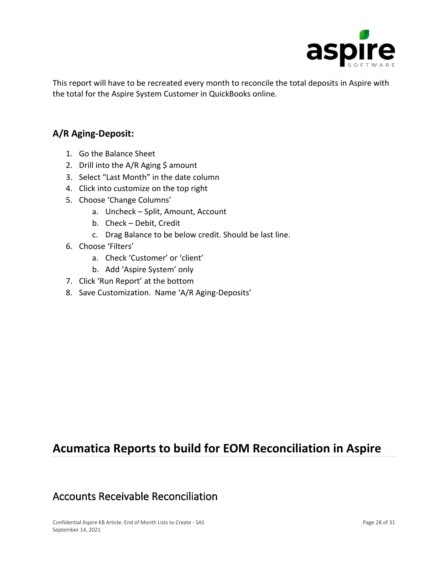

This report will have to be recreated every month to reconcile the total deposits in Aspire with the total for the Aspire System Customer in QuickBooks online.

### **A/R Aging-Deposit:**

- 1. Go the Balance Sheet
- 2. Drill into the A/R Aging \$ amount
- 3. Select "Last Month" in the date column
- 4. Click into customize on the top right
- 5. Choose 'Change Columns'
	- a. Uncheck Split, Amount, Account
	- b. Check Debit, Credit
	- c. Drag Balance to be below credit. Should be last line.
- 6. Choose 'Filters'
	- a. Check 'Customer' or 'client'
	- b. Add 'Aspire System' only
- 7. Click 'Run Report' at the bottom
- 8. Save Customization. Name 'A/R Aging-Deposits'

# **Acumatica Reports to build for EOM Reconciliation in Aspire**

## Accounts Receivable Reconciliation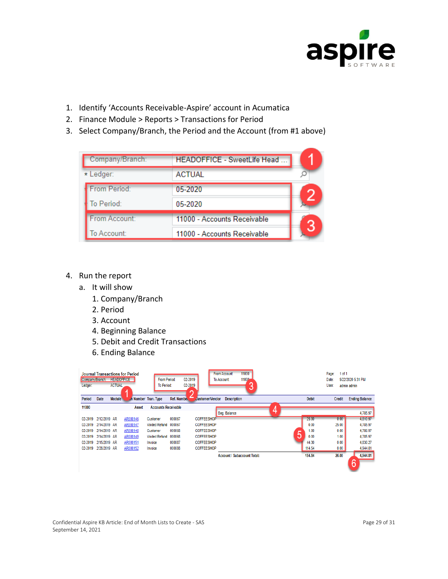

- 1. Identify 'Accounts Receivable-Aspire' account in Acumatica
- 2. Finance Module > Reports > Transactions for Period
- 3. Select Company/Branch, the Period and the Account (from #1 above)

| Company/Branch: | HEADOFFICE - SweetLife Head. |  |
|-----------------|------------------------------|--|
| * Ledger:       | <b>ACTUAL</b>                |  |
| From Period:    | 05-2020                      |  |
| To Period:      | 05-2020                      |  |
| From Account:   | 11000 - Accounts Receivable  |  |
| To Account:     | 11000 - Accounts Receivable  |  |

#### 4. Run the report

- a. It will show
	- 1. Company/Branch
	- 2. Period
	- 3. Account
	- 4. Beginning Balance
	- 5. Debit and Credit Transactions
	- 6. Ending Balance

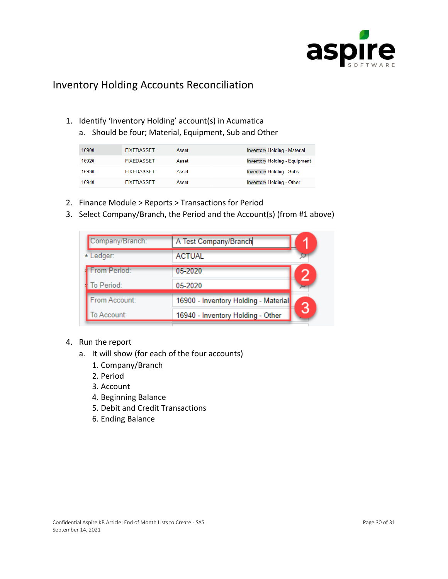

### Inventory Holding Accounts Reconciliation

- 1. Identify 'Inventory Holding' account(s) in Acumatica
	- a. Should be four; Material, Equipment, Sub and Other

| 16900 | <b>FIXEDASSET</b> | Asset | <b>Inventory Holding - Material</b>  |
|-------|-------------------|-------|--------------------------------------|
| 16920 | <b>FIXEDASSET</b> | Asset | <b>Inventory Holding - Equipment</b> |
| 16930 | <b>FIXEDASSET</b> | Asset | <b>Inventory Holding - Subs</b>      |
| 16940 | <b>FIXEDASSET</b> | Asset | Inventory Holding - Other            |

- 2. Finance Module > Reports > Transactions for Period
- 3. Select Company/Branch, the Period and the Account(s) (from #1 above)

| Company/Branch: | A Test Company/Branch                |  |
|-----------------|--------------------------------------|--|
| * Ledger:       | <b>ACTUAL</b>                        |  |
| From Period:    | 05-2020                              |  |
| To Period:      | 05-2020                              |  |
| From Account:   | 16900 - Inventory Holding - Material |  |
| To Account:     | 16940 - Inventory Holding - Other    |  |

- 4. Run the report
	- a. It will show (for each of the four accounts)
		- 1. Company/Branch
		- 2. Period
		- 3. Account
		- 4. Beginning Balance
		- 5. Debit and Credit Transactions
		- 6. Ending Balance